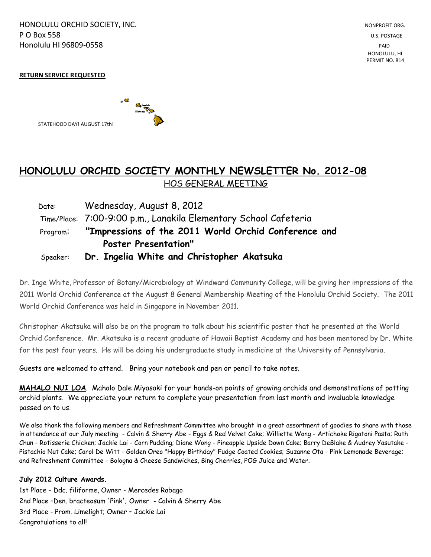HONOLULU ORCHID SOCIETY, INC. NONPROFIT ORG. NONPROFIT ORG. **P O Box 558** U.S. POSTAGE Honolulu HI 96809-0558 PAID

 HONOLULU, HI PERMIT NO. 814

#### **RETURN SERVICE REQUESTED**



STATEHOOD DAY! AUGUST 17th!

# **HONOLULU ORCHID SOCIETY MONTHLY NEWSLETTER No. 2012-08**  HOS GENERAL MEETING

| Date:    | Wednesday, August 8, 2012                                        |  |  |
|----------|------------------------------------------------------------------|--|--|
|          | Time/Place: 7:00-9:00 p.m., Lanakila Elementary School Cafeteria |  |  |
|          | Program: "Impressions of the 2011 World Orchid Conference and    |  |  |
|          | <b>Poster Presentation"</b>                                      |  |  |
| Speaker: | Dr. Ingelia White and Christopher Akatsuka                       |  |  |

Dr. Inge White, Professor of Botany/Microbiology at Windward Community College, will be giving her impressions of the 2011 World Orchid Conference at the August 8 General Membership Meeting of the Honolulu Orchid Society. The 2011 World Orchid Conference was held in Singapore in November 2011.

Christopher Akatsuka will also be on the program to talk about his scientific poster that he presented at the World Orchid Conference. Mr. Akatsuka is a recent graduate of Hawaii Baptist Academy and has been mentored by Dr. White for the past four years. He will be doing his undergraduate study in medicine at the University of Pennsylvania.

Guests are welcomed to attend. Bring your notebook and pen or pencil to take notes.

**MAHALO NUI LOA**. Mahalo Dale Miyasaki for your hands-on points of growing orchids and demonstrations of potting orchid plants. We appreciate your return to complete your presentation from last month and invaluable knowledge passed on to us.

We also thank the following members and Refreshment Committee who brought in a great assortment of goodies to share with those in attendance at our July meeting - Calvin & Sherry Abe - Eggs & Red Velvet Cake; Williette Wong - Artichoke Rigatoni Pasta; Ruth Chun - Rotisserie Chicken; Jackie Lai - Corn Pudding; Diane Wong - Pineapple Upside Down Cake; Barry DeBlake & Audrey Yasutake - Pistachio Nut Cake; Carol De Witt - Golden Oreo "Happy Birthday" Fudge Coated Cookies; Suzanne Ota - Pink Lemonade Beverage; and Refreshment Committee - Bologna & Cheese Sandwiches, Bing Cherries, POG Juice and Water.

#### **July 2012 Culture Awards.**

1st Place – Ddc. filiforme, Owner - Mercedes Rabago 2nd Place –Den. bracteosum 'Pink'; Owner - Calvin & Sherry Abe 3rd Place - Prom. Limelight; Owner – Jackie Lai Congratulations to all!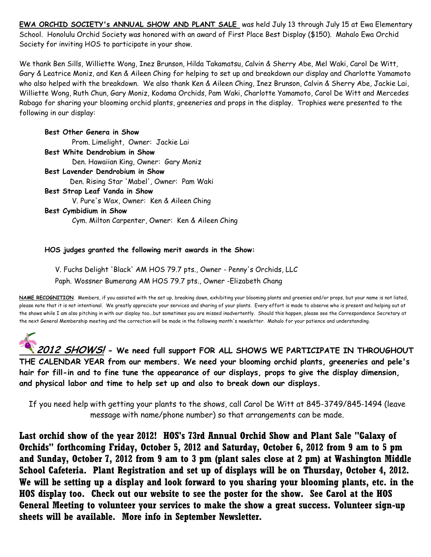**EWA ORCHID SOCIETY's ANNUAL SHOW AND PLANT SALE** was held July 13 through July 15 at Ewa Elementary School. Honolulu Orchid Society was honored with an award of First Place Best Display (\$150). Mahalo Ewa Orchid Society for inviting HOS to participate in your show.

We thank Ben Sills, Williette Wong, Inez Brunson, Hilda Takamatsu, Calvin & Sherry Abe, Mel Waki, Carol De Witt, Gary & Leatrice Moniz, and Ken & Aileen Ching for helping to set up and breakdown our display and Charlotte Yamamoto who also helped with the breakdown. We also thank Ken & Aileen Ching, Inez Brunson, Calvin & Sherry Abe, Jackie Lai, Williette Wong, Ruth Chun, Gary Moniz, Kodama Orchids, Pam Waki, Charlotte Yamamoto, Carol De Witt and Mercedes Rabago for sharing your blooming orchid plants, greeneries and props in the display. Trophies were presented to the following in our display:

**Best Other Genera in Show** Prom. Limelight, Owner: Jackie Lai **Best White Dendrobium in Show** Den. Hawaiian King, Owner: Gary Moniz **Best Lavender Dendrobium in Show** Den. Rising Star 'Mabel', Owner: Pam Waki **Best Strap Leaf Vanda in Show** V. Pure's Wax, Owner: Ken & Aileen Ching **Best Cymbidium in Show** Cym. Milton Carpenter, Owner: Ken & Aileen Ching

#### **HOS judges granted the following merit awards in the Show:**

 V. Fuchs Delight 'Black' AM HOS 79.7 pts., Owner - Penny's Orchids, LLC Paph. Wossner Bumerang AM HOS 79.7 pts., Owner -Elizabeth Chang

**NAME RECOGNITION**. Members, if you assisted with the set up, breaking down, exhibiting your blooming plants and greenies and/or props, but your name is not listed, please note that it is not intentional. We greatly appreciate your services and sharing of your plants. Every effort is made to observe who is present and helping out at the shows while I am also pitching in with our display too...but sometimes you are missed inadvertently. Should this happen, please see the Correspondence Secretary at the next General Membership meeting and the correction will be made in the following month's newsletter. Mahalo for your patience and understanding.

**2012 SHOWS! - We need full support FOR ALL SHOWS WE PARTICIPATE IN THROUGHOUT THE CALENDAR YEAR from our members. We need your blooming orchid plants, greeneries and pele's hair for fill-in and to fine tune the appearance of our displays, props to give the display dimension, and physical labor and time to help set up and also to break down our displays.**

If you need help with getting your plants to the shows, call Carol De Witt at 845-3749/845-1494 (leave message with name/phone number) so that arrangements can be made.

**Last orchid show of the year 2012! HOS's 73rd Annual Orchid Show and Plant Sale "Galaxy of Orchids" forthcoming Friday, October 5, 2012 and Saturday, October 6, 2012 from 9 am to 5 pm and Sunday, October 7, 2012 from 9 am to 3 pm (plant sales close at 2 pm) at Washington Middle School Cafeteria. Plant Registration and set up of displays will be on Thursday, October 4, 2012. We will be setting up a display and look forward to you sharing your blooming plants, etc. in the HOS display too. Check out our website to see the poster for the show. See Carol at the HOS General Meeting to volunteer your services to make the show a great success. Volunteer sign-up sheets will be available. More info in September Newsletter.**